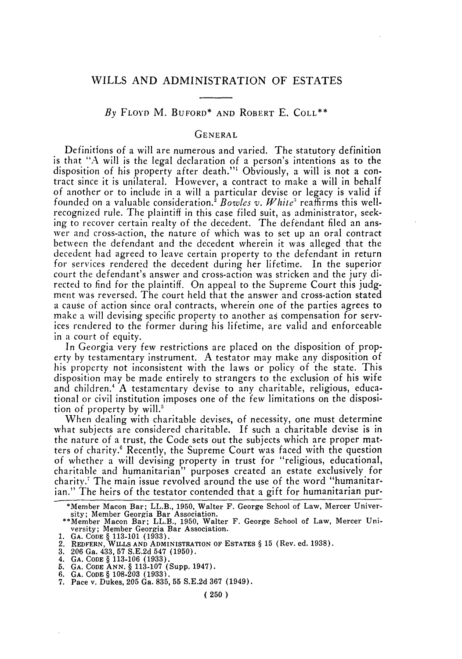*By* FLOYD M. BUFORD\* AND ROBERT E. COLL\*\*

# GENERAL

Definitions of a will are numerous and varied. The statutory definition is that "A will is the legal declaration of a person's intentions as to the disposition of his property after death."' Obviously, a will is not a contract since it is unilateral. However, a contract to make a will in behalf of another or to include in a will a particular devise or legacy is valid if founded on a valuable consideration.<sup>5</sup> Bowles v. White<sup>3</sup> reaffirms this wellrecognized rule. The plaintiff in this case filed suit, as administrator, seeking to recover certain realty of the decedent. The defendant filed an answer and cross-action, the nature of which was to set up an oral contract between the defendant and the decedent wherein it was alleged that the decedent had agreed to leave certain property to the defendant in return for services rendered the decedent during her lifetime. In the superior court the defendant's answer and cross-action was stricken and the jury directed to find for the plaintiff. On appeal to the Supreme Court this judgment was reversed. The court held that the answer and cross-action stated a cause of action since oral contracts, wherein one of the parties agrees to make a will devising specific property to another as compensation for services rendered to the former during his lifetime, are valid and enforceable in a court of equity.

In Georgia very few restrictions are placed on the disposition of property by testamentary instrument. A testator may make any disposition of his property not inconsistent with the laws or policy of the state. This disposition may be made entirely to strangers to the exclusion of his wife and children.<sup>4</sup> A testamentary devise to any charitable, religious, educational or civil institution imposes one of the few limitations on the disposition of property by will.'

When dealing with charitable devises, of necessity, one must determine what subjects are considered charitable. If such a charitable devise is in the nature of a trust, the Code sets out the subjects which are proper matters of charity.' Recently, the Supreme Court was faced with the question of whether a will devising property in trust for "religious, educational, charitable and humanitarian" purposes created an estate exclusively for charity. The main issue revolved around the use of the word "humanitarian." The heirs of the testator contended that a gift for humanitarian pur-

<sup>\*</sup>Member Macon Bar; LL.B., 1950, Walter F. George School of Law, Mercer University; Member Georgia Bar Association.<br>\*\*Member Macon Bar; LL.B., 1950, Walter F. George School of Law, Mercer Uni-

versity; Member Georgia Bar Association.

<sup>1.</sup> **GA. CODE** § 113-101 (1933). 2. REDFERN, WILLS **AND ADMINISTRATION OF ESTATES** § 15 (Rev. ed. 1938).

<sup>3. 206</sup> Ga. 433, 57 S.E.2d 547 (1950).

<sup>4.</sup> GA. CODE § 113-106 (1933). 5. GA. CODE **ANN.** § 113-107 (Supp. 1947). 6. GA. CODE § 108-203 (1933).

<sup>7.</sup> Pace v. Dukes, 205 Ga. 835, 55 S.E.2d 367 (1949).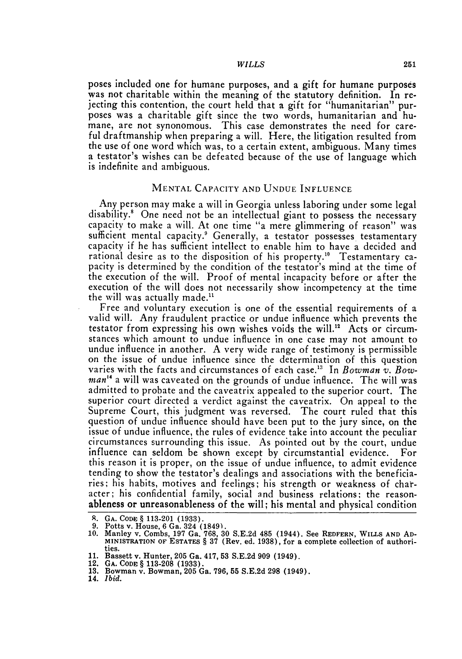poses included one for humane purposes, and a gift for humane purposes was not charitable within the meaning of the statutory definition. In rejecting this contention, the court held that a gift for "humanitarian" purposes was a charitable gift since the two words, humanitarian and humane, are not synonomous. This case demonstrates the need for careful draftmanship when preparing a will. Here, the litigation resulted from the use of one word which was, to a certain extent, ambiguous. Many times a testator's wishes can be defeated because of the use of language which is indefinite and ambiguous.

# MENTAL CAPACITY AND UNDUE INFLUENCE

Any person may make a will in Georgia unless laboring under some legal disability.<sup>8</sup> One need not be an intellectual giant to possess the necessary capacity to make a will. At one time "a mere glimmering of reason" was sufficient mental capacity.<sup>9</sup> Generally, a testator possesses testamentary capacity if he has sufficient intellect to enable him to have a decided and rational desire as to the disposition of his property." Testamentary capacity is determined by the condition of the testator's mind at the time of the execution of the will. Proof of mental incapacity before or after the execution of the will does not necessarily show incompetency at the time the will was actually made."

Free and voluntary execution is one of the essential requirements of a valid will. Any fraudulent practice or undue influence which prevents the testator from expressing his own wishes voids the will.<sup>12</sup> Acts or circumstances which amount to undue influence in one case may not amount to undue influence in another. A very wide range of testimony is permissible on the issue of undue influence since the determination of this question varies with the facts and circumstances of each case.<sup>13</sup> In *Bowman v. Bowman14* a will was caveated on the grounds of undue influence. The will was admitted to probate and the caveatrix appealed to the superior court. The superior court directed a verdict against the caveatrix. On appeal to the Supreme Court, this judgment was reversed. The court ruled that this question of undue influence should have been put to the jury since, on the issue of undue influence, the rules of evidence take into account the peculiar circumstances surrounding this issue. As pointed out by the court, undue influence can seldom be shown except by circumstantial evidence. For this reason it is proper, on the issue of undue influence, to admit evidence tending to show the testator's dealings and associations with the beneficiaries; his habits, motives and feelings; his strength or weakness of character; his confidential family, social and business relations; the reasonableness or unreasonableness of the will; his mental and physical condition

**A. GA. CODE** § **113-201 (1933).**

<sup>9.</sup> Potts v. House, 6 Ga. 324 (1849).<br>10. Manley v. Combs, 197 Ga. 768, 30 S.E.2d 485 (1944). See REDFERN, WILLS AND AD-MINISTRATION OF **ESTATES** § 37 (Rev. ed. **1938),** for a complete collection of authorities.

**<sup>11.</sup>** Bassett v. Hunter, **205 Ga.** 417, **53 S.E.2d 909** (1949).

<sup>12.</sup> **GA. CODE § 113-208 (1933).**

**<sup>13.</sup>** Bowman v. Bowman, **205 Ga. 796, 55 S.E.2d 298** (1949).

<sup>14.</sup> *Ibid.*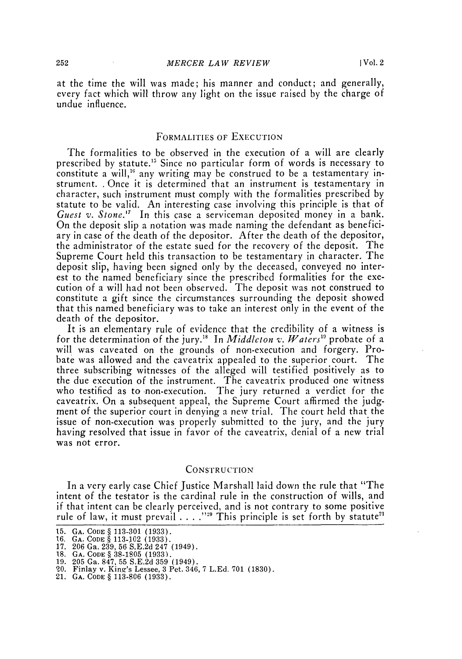at the time the will was made; his manner and conduct; and generally, every fact which will throw any light on the issue raised by the charge of undue influence.

## FORMALITIES **OF** EXECUTION

The formalities to be observed in the execution of a will are clearly prescribed by statute.<sup>15</sup> Since no particular form of words is necessary to constitute a will,<sup>16</sup> any writing may be construed to be a testamentary instrument. . Once it is determined that an instrument is testamentary in character, such instrument must comply with the formalities prescribed by statute to be valid. An interesting case involving this principle is that of *Guest v. Stone.*<sup>17</sup> In this case a serviceman deposited money in a bank. On the deposit slip a notation was made naming the defendant as beneficiary in case of the death of the depositor. After the death of the depositor, the administrator of the estate sued for the recovery of the deposit. The Supreme Court held this transaction to be testamentary in character. The deposit slip, having been signed only by the deceased, conveyed no interest to the named beneficiary since the prescribed formalities for the execution of a will had not been observed. The deposit was not construed to constitute a gift since the circumstances surrounding the deposit showed that this named beneficiary was to take an interest only in the event of the death of the depositor.

It is an elementary rule of evidence that the credibility of a witness is for the determination of the jury.<sup>18</sup> In *Middleton v. Waters*<sup>19</sup> probate of a will was caveated on the grounds of non-execution and forgery. Probate was allowed and the caveatrix appealed to the superior court. The three subscribing witnesses of the alleged will testified positively as to the due execution of the instrument. The caveatrix produced one witness who testified as to non-execution. The jury returned a verdict for the caveatrix. On a subsequent appeal, the Supreme Court affirmed the judgment of the superior court in denying a new trial. The court held that the issue of non-execution was properly submitted to the jury, and the jury having resolved that issue in favor of the caveatrix, denial of a new trial was not error.

#### **CONSTRUCTION**

In a very early case Chief Justice Marshall laid down the rule that "The intent of the testator is the cardinal rule in the construction of wills, and if that intent can be clearly perceived, and is not contrary to some positive<br>rule of law, it must prevail . . . .''<sup>20</sup> This principle is set forth by statute<sup>21</sup>

**<sup>15.</sup> GA. CODE** § **113-301 (1933). 16. GA. CODE** § **113- 102 (1933). 17. 206** Ga. **239, 56 S.E.2d** 247 (1949).

**<sup>18.</sup>** *GA.* **CODE** § **38-1805 (1933).**

**<sup>19. 205</sup>** Ga. **847, 55 S.E.2d 359** (1949). **20.** Finlay v. King's Lessee, **3** Pet. 346, **7 L.Ed. 701 (1830).**

<sup>21.</sup> *GA.* **CODE** § **113-806 (1933).**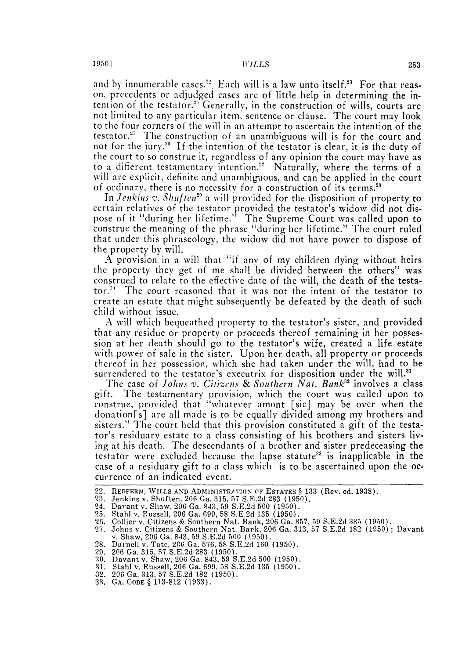and by innumerable cases.<sup>22</sup> Each will is a law unto itself.<sup>23</sup> For that reason, precedents or adjudged cases are of little help in determining the intention of the testator.<sup>24</sup> Generally, in the construction of wills, courts are not limited to any particular item, sentence or clause. The court may look to the four corners of the will in an attempt to ascertain the intention of the testator.<sup>25</sup> The construction of an unambiguous will is for the court and not for the jury.<sup>26</sup> If the intention of the testator is clear, it is the duty of the court to so construe it, regardless of any opinion the court may have as to a different testamentary intention.<sup>27</sup> Naturally, where the terms of a will are explicit, definite and unambiguous, and can be applied in the court of ordinary, there is no necessity for a construction of its terms.<sup>28</sup>

In *Jenkins v. Shuften*<sup>29</sup> a will provided for the disposition of property to certain relatives of the testator provided the testator's widow did not dispose of it "during her lifetime." The Supreme Court was called upon to construe the meaning of the phrase "during her lifetime." The court ruled that under this phraseology, the widow did not have power to dispose of the property by will.

A provision in a will that "if any of my children dying without heirs the property they get of me shall be divided between the others" was construed to relate to the effective date of the will, the death of the testator.<sup>30</sup> The court reasoned that it was not the intent of the testator to create an estate that might subsequently be defeated by the death of such child without issue.

A will which bequeathed property to the testator's sister, and provided that any residue or property or proceeds thereof remaining in her possession at her death should go to the testator's wife, created a life estate with power of sale in the sister. Upon her death, all property or proceeds thereof **in** her possession, which she had taken under the will, had to be surrendered to the testator's executrix for disposition under the will.<sup>3</sup>

The case of *Johns v. Citizens & Southern Nat. Bank*<sup>32</sup> involves a class gift. The testamentary provision, which the court was called upon to construe, provided that "whatever amont [sic] may be over when the donation[s] are all made is to be equally divided among my brothers and sisters." The court held that this provision constituted a gift of the testator's residuary estate to a class consisting of his brothers and sisters living at his death. The descendants of a brother and sister predeceasing the testator were excluded because the lapse statute<sup>33</sup> is inapplicable in the case of a residuary gift to a class which is to be ascertained upon the occurrence of an indicated event.

25. Stahl v. Russell, 206 Ga. 699, 58 S.E.2d 135 (1950).

- 27. Johns v. Citizens & Southern Nat. Bark, 206 Ga. 313, 57 S.E.2d 182 (1950); Davant
- 28. Darnell v. Tate, 206 Ga. 576.58 S.E.2d 160 (1950).
- 
- 29. 206 Ga. 315, 57 S.E.2d 283 (1950). 30. Davant v. Shaw, 206 Ga. 843, 59 S.E.2d 500 (1950).
- **31.** Stahl v. Russell, 206 Ga. 699, 58 S.E.2d 135 (1950).
- 32. 206 Ga. 313, 57 S.E.2d 182 (1950).
- 33. GA. CODE **§** 113-812 (1933).

<sup>22.</sup> REDFERN, WILLS AND ADMINISTRATION **0F** ESTATES § 133 (Rev. ed. 1938).

<sup>23.</sup> Jenkins v. Shuften, 206 Ga. 315, 57 S.E.2d 283 (1950).

<sup>24.</sup> Davant v. Shaw, 206 Ga. 843, 59 S.E.2d 500 (1950).

<sup>26.</sup> Collier v. Citizens & Southern Nat. Bank, 206 Ga. 857, 59 S.E.2d 385 (1950).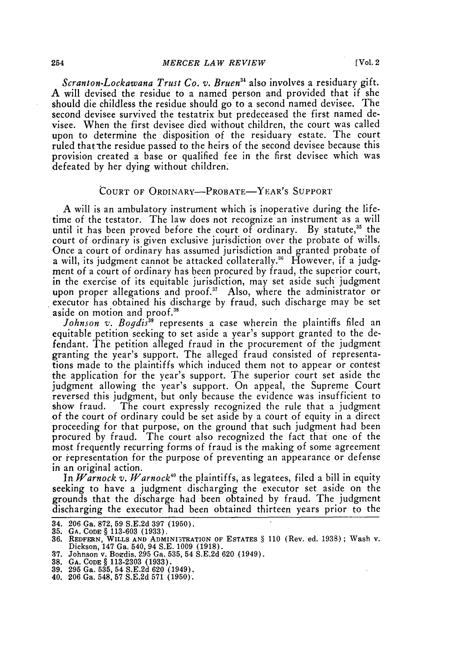*Scranton-Lockawana Trust Co. v. Bruen34* also involves a residuary gift. A will devised the residue to a named person and provided that if she should die childless the residue should go to a second named devisee. The second devisee survived the testatrix but predeceased the first named devisee. When the first devisee died without children, the court was called upon to determine the disposition of the residuary estate. The court ruled that the residue passed to the heirs of the second devisee because this provision created a base or qualified fee in the first devisee which was defeated by her dying without children.

### COURT OF ORDINARY-PROBATE-YEAR'S SUPPORT

A will is an ambulatory instrument which is inoperative during the lifetime of the testator. The law does not recognize an instrument as a will until it has been proved before the court of ordinary. By statute,<sup>35</sup> the court of ordinary is given exclusive jurisdiction over the probate of wills. Once a court of ordinary has assumed jurisdiction and granted probate of a will, its judgment cannot be attacked collaterally.<sup>36</sup> However, if a judgment of a court of ordinary has been procured **by** fraud, the superior court, in the exercise of its equitable jurisdiction, may set aside such judgment upon proper allegations and proof.<sup>37</sup> Also, where the administrator or executor has obtained his discharge by fraud, such discharge may be set aside on motion and proof.<sup>38</sup>

Johnson v. Bogdis<sup>39</sup> represents a case wherein the plaintiffs filed an equitable petition seeking to set aside a year's support granted to the defendant. The petition alleged fraud in the procurement of the judgment granting the year's support. The alleged fraud consisted of representations made to the plaintiffs which induced them not to appear or contest the application for the year's support. The superior court set aside the judgment allowing the year's support. On appeal, the Supreme Court reversed this judgment, but only because the evidence was insufficient to show fraud. The court expressly recognized the rule that a judgment of the court of ordinary could be set aside by a court of equity in a direct proceeding for that purpose, on the ground that such judgment had been procured by fraud. The court also recognized the fact that one of the most frequently recurring forms of fraud is the making of some agreement or representation for the purpose of preventing an appearance or defense in an original action.

In  $\emph{Warrock v. Warnock$^{40}$}$  the plaintiffs, as legatees, filed a bill in equity seeking to have a judgment discharging the executor set aside on the grounds that the discharge had been obtained by fraud. The judgment discharging the executor had been obtained thirteen years prior to the

**38. GA.** CODE § 113-2303 (1933). 39. 295 Ga. 535, 54 S.E.2d 620 (1949).

<sup>34. 206</sup> Ga. 872, 59 S.E.2d 397 (1950).

**<sup>35.</sup> GA.** CODE § 113-603 (1933).

<sup>36.</sup> REDFERN, WILLS **AND ADMINI3TRATION** OF **ESTATES** § 110 (Rev. ed. 1938); Wash v. Dickson, 147 Ga. 540, 94 S.E. 1009 (1918).

**<sup>37.</sup>** Johnson v. Bozdis, 295 Ga. 535, 54 S.E.2d 620 (1949).

<sup>40. 206</sup> Ga. 548, 57 S.E.2d 571 (1950).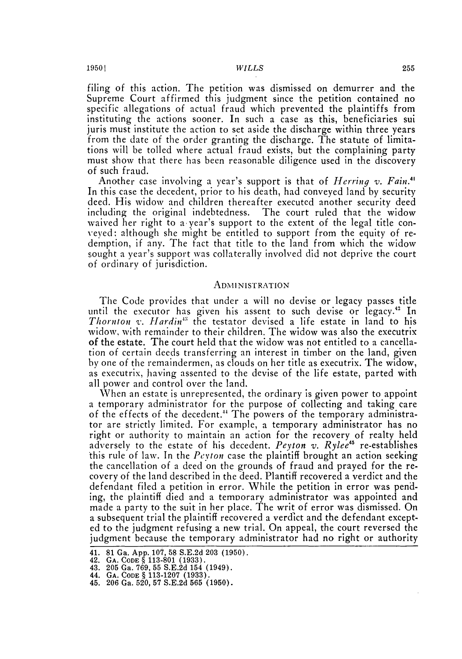filing of this action. The petition was dismissed on demurrer and the Supreme Court affirmed this judgment since the petition contained no specific allegations of actual fraud which prevented the plaintiffs from instituting the actions sooner. In such a case as this, beneficiaries sui juris must institute the action to set aside the discharge within three years from the date of the order granting the discharge. The statute of limitations will be tolled where actual fraud exists, but the complaining party must show that there has been reasonable diligence used in the discovery of such fraud.

Another case involving a year's support is that of *Herring v. Fain."* In this case the decedent, prior to his death, had conveyed land by security deed. His widow and children thereafter executed another security deed including the original indebtedness. The court ruled that the widow waived her right to a year's support to the extent of the legal title conveyed: although she might be entitled to support from the equity of redemption, if any. The fact that title to the land from which the widow sought a year's support was collaterally involved did not deprive the court of ordinary of jurisdiction.

#### **ADMINISTRATION**

The Code provides that under a will no devise or legacy passes title until the executor has given his assent to such devise or legacy." In Thornton v. *Hardin*<sup>13</sup> the testator devised a life estate in land to his widow, with remainder to their children. The widow was also the executrix of the estate. The court held that the widow was not entitled to a cancellation of certain deeds transferring an interest in timber on the land, given by one of the remaindermen, as clouds on her title as executrix. The widow, as executrix, having assented to the devise of the life estate, parted with all power and control over the land.

When an estate is unrepresented, the ordinary is given power to appoint a temporary administrator for the purpose of collecting and taking care of the effects of the decedent.<sup>44</sup> The powers of the temporary administrator are strictly limited. For example, a temporary administrator has no right or authority to maintain an action for the recovery of realty held adversely to the estate of his decedent. *Peyton* v. *Rylee45* re-establishes this rule of law. In the *Pevton* case the plaintiff brought an action seeking the cancellation of a deed on the grounds of fraud and prayed for the recovery of the land described in the deed. Plantiff recovered a verdict and the defendant filed a petition in error. While the petition in error was pending, the plaintiff died and a temnorary administrator was appointed and made a party to the suit in her place. The writ of error was dismissed. On a subsequent trial the plaintiff recovered a verdict and the defendant excepted to the judgment refusing a new trial. On appeal, the court reversed the judgment because the temporary administrator had no right or authority

<sup>41.</sup> **81** Ga. **App. 107, 58 S.E.2d 203 (1950).**

<sup>42.</sup> **GA. CODE § 113-801 (1933).**

<sup>43.</sup> **205** Ga. **769, 55 S.E.2d** 154 (1949).

<sup>44.</sup> **GA. CODE § 113-1207 (1933).**

<sup>45.</sup> **206** Ga. **520, 57 S.E.2d 565 (1950).**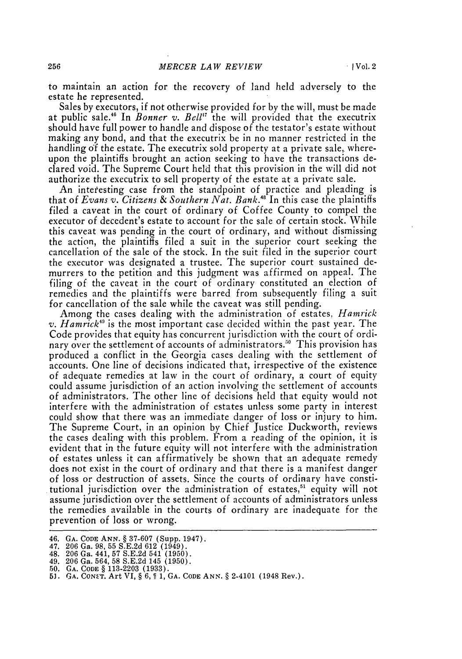to maintain an action for the recovery of land held adversely to the estate he represented.

Sales by executors, if not otherwise provided for by the will, must be made at public sale.46 In *Bonner v. Bell'"* the will provided that the executrix should have full power to handle and dispose of the testator's estate without making any bond, and that the executrix be in no manner restricted in the handling of the estate. The executrix sold property at a private sale, whereupon the plaintiffs brought an action seeking to have the transactions declared void. The Supreme Court held that this provision in the will did not authorize the executrix to sell property of the estate at a private sale.

An interesting case from the standpoint of practice and pleading is that of *Evans v. Citizens & Southern Nat. Bank.48* In this case the plaintiffs filed a caveat in the court of ordinary of Coffee County to compel the executor of decedent's estate to account for the sale of certain stock. While this caveat was pending in the court of ordinary, and without dismissing the action, the plaintiffs filed a suit in the superior court seeking the cancellation of the sale of the stock. In the suit filed in the superior court the executor was designated a trustee. The superior court sustained demurrers to the petition and this judgment was affirmed on appeal. The filing of the caveat in the court of ordinary constituted an election of remedies and the plaintiffs were barred from subsequently filing a suit for cancellation of the sale while the caveat was still pending.

Among the cases dealing with the administration of estates, *Hamrick* v. *Hamrick"* is the most important case decided within the past year. The Code provides that equity has concurrent jurisdiction with the court of ordinary over the settlement of accounts of administrators.<sup>50</sup> This provision has produced a conflict in the Georgia cases dealing with the settlement of accounts. One line of decisions indicated that, irrespective of the existence of adequate remedies at law in the court of ordinary, a court of equity could assume jurisdiction of an action involving the settlement of accounts of administrators. The other line of decisions held that equity would not interfere with the administration of estates unless some party in interest could show that there was an immediate danger of loss or injury to him. The Supreme Court, in an opinion by Chief Justice Duckworth, reviews the cases dealing with this problem. From a reading of the opinion, it is evident that in the future equity will not interfere with the administration of estates unless it can affirmatively be shown that an adequate remedy does not exist in the court of ordinary and that there is a manifest danger of loss or destruction of assets. Since the courts of ordinary have constitutional jurisdiction over the administration of estates,<sup>51</sup> equity will not assume jurisdiction over the settlement of accounts of administrators unless the remedies available in the courts of ordinary are inadequate for the prevention of loss or wrong.

<sup>46.</sup> **GA. CODE ANN.** § **37-607** (Supp. 1947).

<sup>47.</sup> **206** Ga. **98, 55 S.E.2d 612** (1949).

<sup>48.</sup> **206** Ga. 441, **57 S.E.2d** 541 **(1950).**

<sup>49.</sup> **206** Ga. 564, **58 S.E.2d** 145 **(1950). 50. GA. CODE** § **113-2203 (1933).**

**<sup>5</sup>J.** GA. **CON-'T.** Art **VI,** § **6, 1 1, GA. CODE ANN.** § 2-4101 (1948 Rev.).